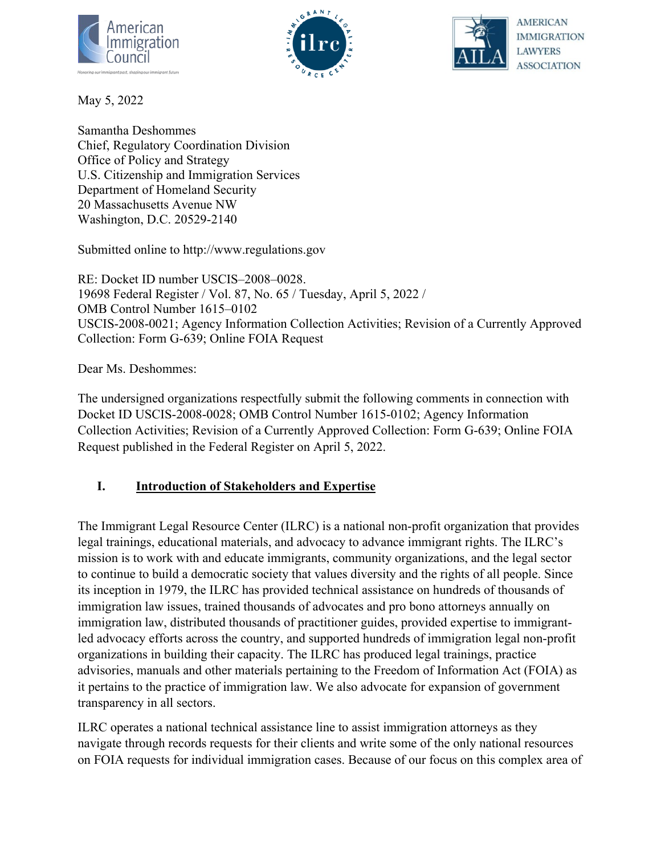





May 5, 2022

Samantha Deshommes Chief, Regulatory Coordination Division Office of Policy and Strategy U.S. Citizenship and Immigration Services Department of Homeland Security 20 Massachusetts Avenue NW Washington, D.C. 20529-2140

Submitted online to http://www.regulations.gov

RE: Docket ID number USCIS–2008–0028. 19698 Federal Register / Vol. 87, No. 65 / Tuesday, April 5, 2022 / OMB Control Number 1615–0102 USCIS-2008-0021; Agency Information Collection Activities; Revision of a Currently Approved Collection: Form G-639; Online FOIA Request

Dear Ms. Deshommes:

The undersigned organizations respectfully submit the following comments in connection with Docket ID USCIS-2008-0028; OMB Control Number 1615-0102; Agency Information Collection Activities; Revision of a Currently Approved Collection: Form G-639; Online FOIA Request published in the Federal Register on April 5, 2022.

## **I. Introduction of Stakeholders and Expertise**

The Immigrant Legal Resource Center (ILRC) is a national non-profit organization that provides legal trainings, educational materials, and advocacy to advance immigrant rights. The ILRC's mission is to work with and educate immigrants, community organizations, and the legal sector to continue to build a democratic society that values diversity and the rights of all people. Since its inception in 1979, the ILRC has provided technical assistance on hundreds of thousands of immigration law issues, trained thousands of advocates and pro bono attorneys annually on immigration law, distributed thousands of practitioner guides, provided expertise to immigrantled advocacy efforts across the country, and supported hundreds of immigration legal non-profit organizations in building their capacity. The ILRC has produced legal trainings, practice advisories, manuals and other materials pertaining to the Freedom of Information Act (FOIA) as it pertains to the practice of immigration law. We also advocate for expansion of government transparency in all sectors.

ILRC operates a national technical assistance line to assist immigration attorneys as they navigate through records requests for their clients and write some of the only national resources on FOIA requests for individual immigration cases. Because of our focus on this complex area of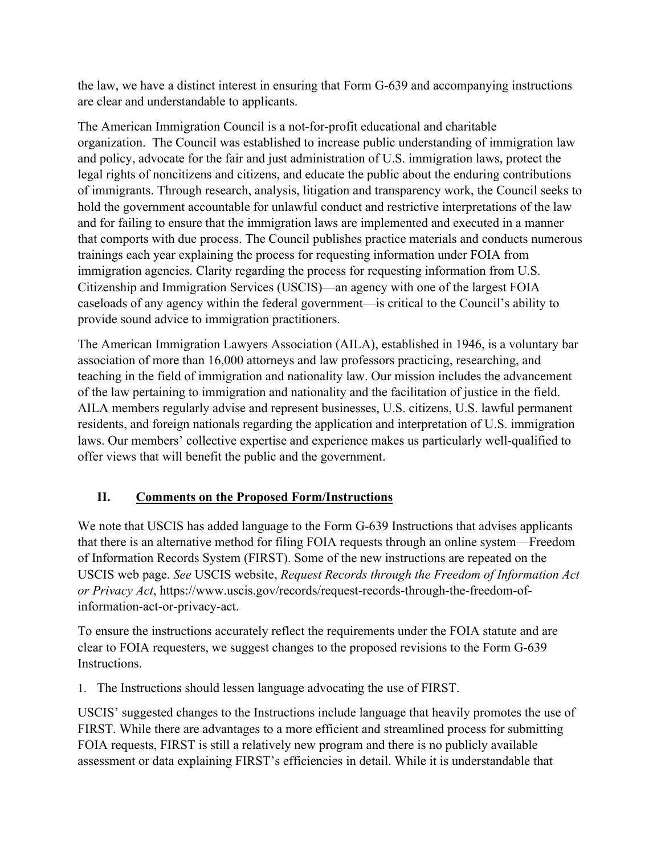the law, we have a distinct interest in ensuring that Form G-639 and accompanying instructions are clear and understandable to applicants.

The American Immigration Council is a not-for-profit educational and charitable organization. The Council was established to increase public understanding of immigration law and policy, advocate for the fair and just administration of U.S. immigration laws, protect the legal rights of noncitizens and citizens, and educate the public about the enduring contributions of immigrants. Through research, analysis, litigation and transparency work, the Council seeks to hold the government accountable for unlawful conduct and restrictive interpretations of the law and for failing to ensure that the immigration laws are implemented and executed in a manner that comports with due process. The Council publishes practice materials and conducts numerous trainings each year explaining the process for requesting information under FOIA from immigration agencies. Clarity regarding the process for requesting information from U.S. Citizenship and Immigration Services (USCIS)—an agency with one of the largest FOIA caseloads of any agency within the federal government—is critical to the Council's ability to provide sound advice to immigration practitioners.

The American Immigration Lawyers Association (AILA), established in 1946, is a voluntary bar association of more than 16,000 attorneys and law professors practicing, researching, and teaching in the field of immigration and nationality law. Our mission includes the advancement of the law pertaining to immigration and nationality and the facilitation of justice in the field. AILA members regularly advise and represent businesses, U.S. citizens, U.S. lawful permanent residents, and foreign nationals regarding the application and interpretation of U.S. immigration laws. Our members' collective expertise and experience makes us particularly well-qualified to offer views that will benefit the public and the government.

## **II. Comments on the Proposed Form/Instructions**

We note that USCIS has added language to the Form G-639 Instructions that advises applicants that there is an alternative method for filing FOIA requests through an online system—Freedom of Information Records System (FIRST). Some of the new instructions are repeated on the USCIS web page. *See* USCIS website, *Request Records through the Freedom of Information Act or Privacy Act*, [https://www.uscis.gov/records/request-records-through-the-freedom-of](https://www.uscis.gov/records/request-records-through-the-freedom-of-information-act-or-privacy-act)[information-act-or-privacy-act.](https://www.uscis.gov/records/request-records-through-the-freedom-of-information-act-or-privacy-act)

To ensure the instructions accurately reflect the requirements under the FOIA statute and are clear to FOIA requesters, we suggest changes to the proposed revisions to the Form G-639 Instructions.

1. The Instructions should lessen language advocating the use of FIRST.

USCIS' suggested changes to the Instructions include language that heavily promotes the use of FIRST. While there are advantages to a more efficient and streamlined process for submitting FOIA requests, FIRST is still a relatively new program and there is no publicly available assessment or data explaining FIRST's efficiencies in detail. While it is understandable that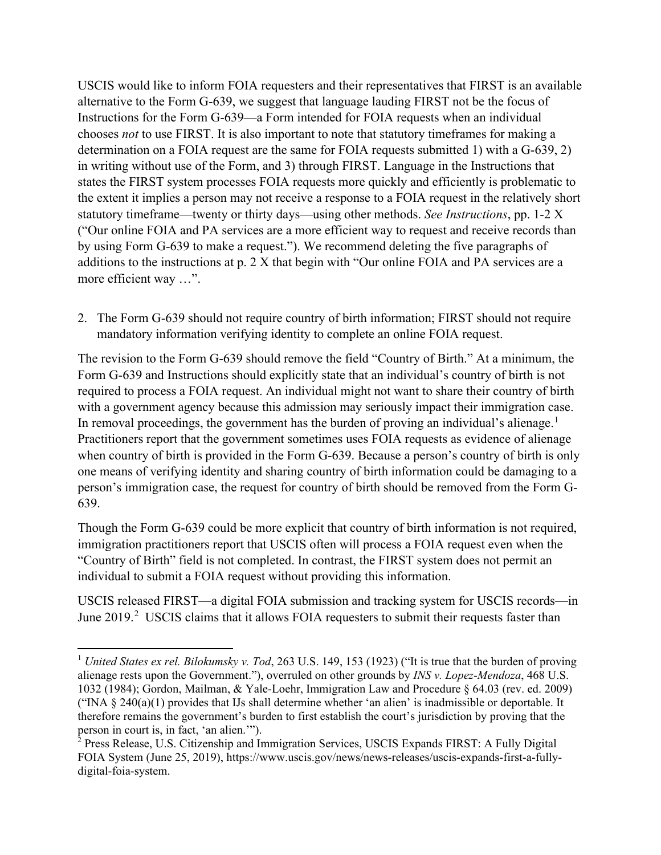USCIS would like to inform FOIA requesters and their representatives that FIRST is an available alternative to the Form G-639, we suggest that language lauding FIRST not be the focus of Instructions for the Form G-639—a Form intended for FOIA requests when an individual chooses *not* to use FIRST. It is also important to note that statutory timeframes for making a determination on a FOIA request are the same for FOIA requests submitted 1) with a G-639, 2) in writing without use of the Form, and 3) through FIRST. Language in the Instructions that states the FIRST system processes FOIA requests more quickly and efficiently is problematic to the extent it implies a person may not receive a response to a FOIA request in the relatively short statutory timeframe—twenty or thirty days—using other methods. *See Instructions*, pp. 1-2 X ("Our online FOIA and PA services are a more efficient way to request and receive records than by using Form G-639 to make a request."). We recommend deleting the five paragraphs of additions to the instructions at p. 2 X that begin with "Our online FOIA and PA services are a more efficient way …".

2. The Form G-639 should not require country of birth information; FIRST should not require mandatory information verifying identity to complete an online FOIA request.

The revision to the Form G-639 should remove the field "Country of Birth." At a minimum, the Form G-639 and Instructions should explicitly state that an individual's country of birth is not required to process a FOIA request. An individual might not want to share their country of birth with a government agency because this admission may seriously impact their immigration case. In removal proceedings, the government has the burden of proving an individual's alienage.<sup>[1](#page-2-0)</sup> Practitioners report that the government sometimes uses FOIA requests as evidence of alienage when country of birth is provided in the Form G-639. Because a person's country of birth is only one means of verifying identity and sharing country of birth information could be damaging to a person's immigration case, the request for country of birth should be removed from the Form G-639.

Though the Form G-639 could be more explicit that country of birth information is not required, immigration practitioners report that USCIS often will process a FOIA request even when the "Country of Birth" field is not completed. In contrast, the FIRST system does not permit an individual to submit a FOIA request without providing this information.

USCIS released FIRST—a digital FOIA submission and tracking system for USCIS records—in June [2](#page-2-1)019.<sup>2</sup> USCIS claims that it allows FOIA requesters to submit their requests faster than

<span id="page-2-0"></span><sup>&</sup>lt;sup>1</sup> *United States ex rel. Bilokumsky v. Tod,* 263 U.S. 149, 153 (1923) ("It is true that the burden of proving alienage rests upon the Government."), overruled on other grounds by *INS v. Lopez-Mendoza*, 468 U.S. 1032 (1984); Gordon, Mailman, & Yale-Loehr, Immigration Law and Procedure § 64.03 (rev. ed. 2009) ("INA § 240(a)(1) provides that IJs shall determine whether 'an alien' is inadmissible or deportable. It therefore remains the government's burden to first establish the court's jurisdiction by proving that the person in court is, in fact, 'an alien.'").<br><sup>2</sup> Press Release, U.S. Citizenship and Immigration Services, USCIS Expands FIRST: A Fully Digital

<span id="page-2-1"></span>FOIA System (June 25, 2019), https://www.uscis.gov/news/news-releases/uscis-expands-first-a-fullydigital-foia-system.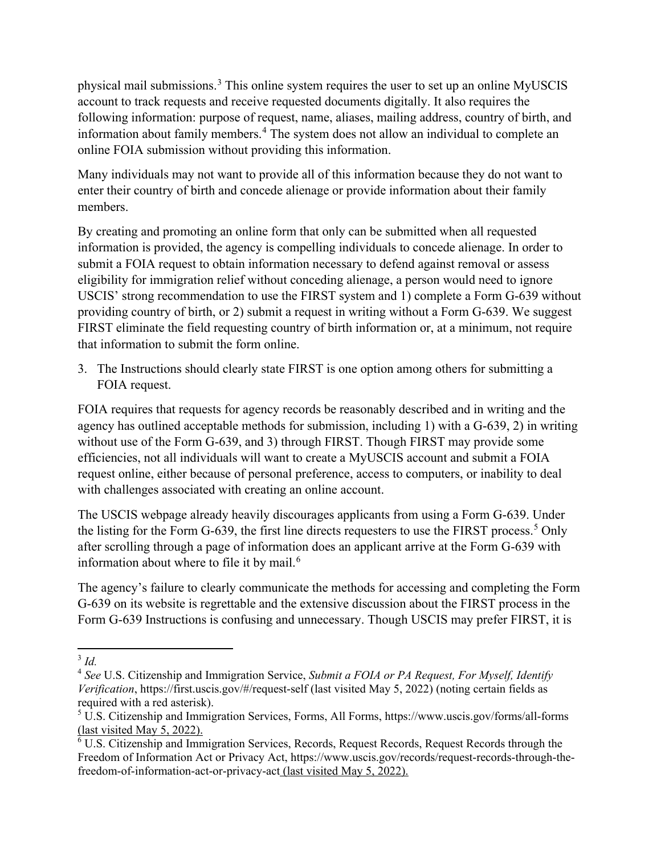physical mail submissions.[3](#page-3-0) This online system requires the user to set up an online MyUSCIS account to track requests and receive requested documents digitally. It also requires the following information: purpose of request, name, aliases, mailing address, country of birth, and information about family members.<sup>[4](#page-3-1)</sup> The system does not allow an individual to complete an online FOIA submission without providing this information.

Many individuals may not want to provide all of this information because they do not want to enter their country of birth and concede alienage or provide information about their family members.

By creating and promoting an online form that only can be submitted when all requested information is provided, the agency is compelling individuals to concede alienage. In order to submit a FOIA request to obtain information necessary to defend against removal or assess eligibility for immigration relief without conceding alienage, a person would need to ignore USCIS' strong recommendation to use the FIRST system and 1) complete a Form G-639 without providing country of birth, or 2) submit a request in writing without a Form G-639. We suggest FIRST eliminate the field requesting country of birth information or, at a minimum, not require that information to submit the form online.

3. The Instructions should clearly state FIRST is one option among others for submitting a FOIA request.

FOIA requires that requests for agency records be reasonably described and in writing and the agency has outlined acceptable methods for submission, including 1) with a G-639, 2) in writing without use of the Form G-639, and 3) through FIRST. Though FIRST may provide some efficiencies, not all individuals will want to create a MyUSCIS account and submit a FOIA request online, either because of personal preference, access to computers, or inability to deal with challenges associated with creating an online account.

The USCIS webpage already heavily discourages applicants from using a Form G-639. Under the listing for the Form G-639, the first line directs requesters to use the FIRST process.<sup>[5](#page-3-2)</sup> Only after scrolling through a page of information does an applicant arrive at the Form G-639 with information about where to file it by mail.<sup>[6](#page-3-3)</sup>

The agency's failure to clearly communicate the methods for accessing and completing the Form G-639 on its website is regrettable and the extensive discussion about the FIRST process in the Form G-639 Instructions is confusing and unnecessary. Though USCIS may prefer FIRST, it is

<span id="page-3-0"></span><sup>3</sup> *Id.*

<span id="page-3-1"></span><sup>4</sup> *See* U.S. Citizenship and Immigration Service, *Submit a FOIA or PA Request, For Myself, Identify Verification*, https://first.uscis.gov/#/request-self (last visited May 5, 2022) (noting certain fields as required with a red asterisk).

<span id="page-3-2"></span><sup>5</sup> U.S. Citizenship and Immigration Services, Forms, All Forms, https://www.uscis.gov/forms/all-forms (last visited May 5, 2022).

<span id="page-3-3"></span> $6$  U.S. Citizenship and Immigration Services, Records, Request Records, Request Records through the Freedom of Information Act or Privacy Act, https://www.uscis.gov/records/request-records-through-thefreedom-of-information-act-or-privacy-act (last visited May 5, 2022).